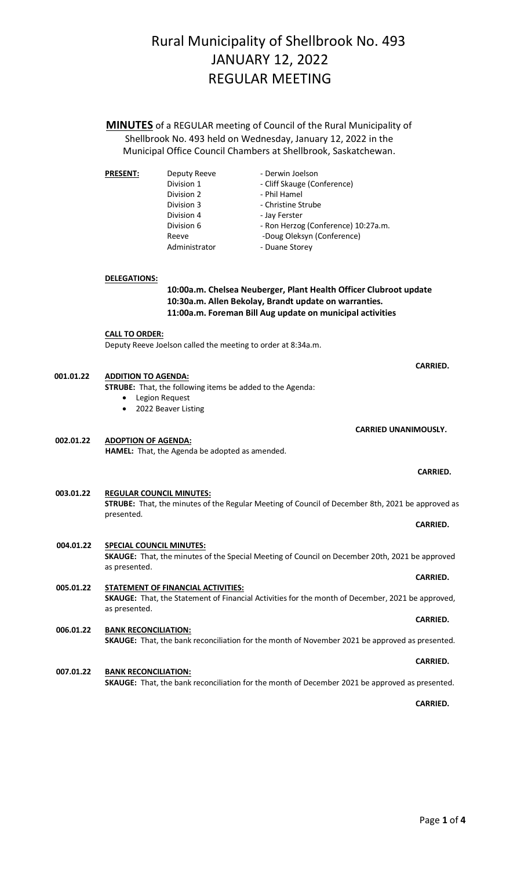**MINUTES** of a REGULAR meeting of Council of the Rural Municipality of Shellbrook No. 493 held on Wednesday, January 12, 2022 in the Municipal Office Council Chambers at Shellbrook, Saskatchewan.

| <b>PRESENT:</b> | Deputy Reeve  | - Derwin Joelson                    |  |
|-----------------|---------------|-------------------------------------|--|
|                 | Division 1    | - Cliff Skauge (Conference)         |  |
|                 | Division 2    | - Phil Hamel                        |  |
|                 | Division 3    | - Christine Strube                  |  |
|                 | Division 4    | - Jay Ferster                       |  |
|                 | Division 6    | - Ron Herzog (Conference) 10:27a.m. |  |
|                 | Reeve         | -Doug Oleksyn (Conference)          |  |
|                 | Administrator | - Duane Storey                      |  |
|                 |               |                                     |  |

**DELEGATIONS:**

## **10:00a.m. Chelsea Neuberger, Plant Health Officer Clubroot update 10:30a.m. Allen Bekolay, Brandt update on warranties. 11:00a.m. Foreman Bill Aug update on municipal activities**

**CALL TO ORDER:** Deputy Reeve Joelson called the meeting to order at 8:34a.m.

 *CARRIED.* 

| 001.01.22 | <b>ADDITION TO AGENDA:</b><br><b>STRUBE:</b> That, the following items be added to the Agenda:<br>Legion Request<br>2022 Beaver Listing                        |                 |
|-----------|----------------------------------------------------------------------------------------------------------------------------------------------------------------|-----------------|
| 002.01.22 | <b>CARRIED UNANIMOUSLY.</b><br><b>ADOPTION OF AGENDA:</b><br><b>HAMEL:</b> That, the Agenda be adopted as amended.                                             |                 |
|           |                                                                                                                                                                | <b>CARRIED.</b> |
| 003.01.22 | <b>REGULAR COUNCIL MINUTES:</b><br>STRUBE: That, the minutes of the Regular Meeting of Council of December 8th, 2021 be approved as<br>presented.              | <b>CARRIED.</b> |
| 004.01.22 | <b>SPECIAL COUNCIL MINUTES:</b><br>SKAUGE: That, the minutes of the Special Meeting of Council on December 20th, 2021 be approved<br>as presented.             |                 |
| 005.01.22 | <b>STATEMENT OF FINANCIAL ACTIVITIES:</b><br>SKAUGE: That, the Statement of Financial Activities for the month of December, 2021 be approved,<br>as presented. | <b>CARRIED.</b> |
| 006.01.22 | <b>BANK RECONCILIATION:</b><br>SKAUGE: That, the bank reconciliation for the month of November 2021 be approved as presented.                                  | <b>CARRIED.</b> |
| 007.01.22 | <b>BANK RECONCILIATION:</b>                                                                                                                                    | <b>CARRIED.</b> |

**SKAUGE:** That, the bank reconciliation for the month of December 2021 be approved as presented.

**CARRIED.**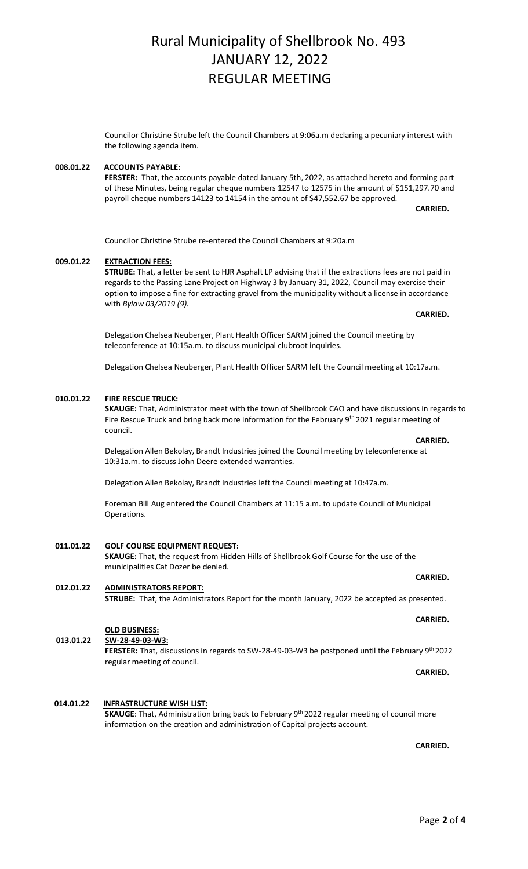Councilor Christine Strube left the Council Chambers at 9:06a.m declaring a pecuniary interest with the following agenda item.

### **008.01.22 ACCOUNTS PAYABLE:**

**FERSTER:** That, the accounts payable dated January 5th, 2022, as attached hereto and forming part of these Minutes, being regular cheque numbers 12547 to 12575 in the amount of \$151,297.70 and payroll cheque numbers 14123 to 14154 in the amount of \$47,552.67 be approved.

**CARRIED.**

Councilor Christine Strube re-entered the Council Chambers at 9:20a.m

### **009.01.22 EXTRACTION FEES:**

**STRUBE:** That, a letter be sent to HJR Asphalt LP advising that if the extractions fees are not paid in regards to the Passing Lane Project on Highway 3 by January 31, 2022, Council may exercise their option to impose a fine for extracting gravel from the municipality without a license in accordance with *Bylaw 03/2019 (9).*

**CARRIED.**

Delegation Chelsea Neuberger, Plant Health Officer SARM joined the Council meeting by teleconference at 10:15a.m. to discuss municipal clubroot inquiries.

Delegation Chelsea Neuberger, Plant Health Officer SARM left the Council meeting at 10:17a.m.

#### **010.01.22 FIRE RESCUE TRUCK:**

**SKAUGE:** That, Administrator meet with the town of Shellbrook CAO and have discussions in regards to Fire Rescue Truck and bring back more information for the February 9<sup>th</sup> 2021 regular meeting of council.

**CARRIED. CARRIED.** Delegation Allen Bekolay, Brandt Industries joined the Council meeting by teleconference at 10:31a.m. to discuss John Deere extended warranties.

Delegation Allen Bekolay, Brandt Industries left the Council meeting at 10:47a.m.

Foreman Bill Aug entered the Council Chambers at 11:15 a.m. to update Council of Municipal Operations.

### **011.01.22 GOLF COURSE EQUIPMENT REQUEST:**

**SKAUGE:** That, the request from Hidden Hills of Shellbrook Golf Course for the use of the municipalities Cat Dozer be denied.

## **012.01.22 ADMINISTRATORS REPORT:**

**STRUBE:** That, the Administrators Report for the month January, 2022 be accepted as presented.

**CARRIED. CARRIED.** 

#### **OLD BUSINESS:**

**013.01.22 SW-28-49-03-W3:**

FERSTER: That, discussions in regards to SW-28-49-03-W3 be postponed until the February 9<sup>th</sup> 2022 regular meeting of council.

 **014.01.22 INFRASTRUCTURE WISH LIST: SKAUGE**: That, Administration bring back to February 9th 2022 regular meeting of council more information on the creation and administration of Capital projects account.

**CARRIED.**

## **CARRIED.**

**CARRIED. CARRIED.**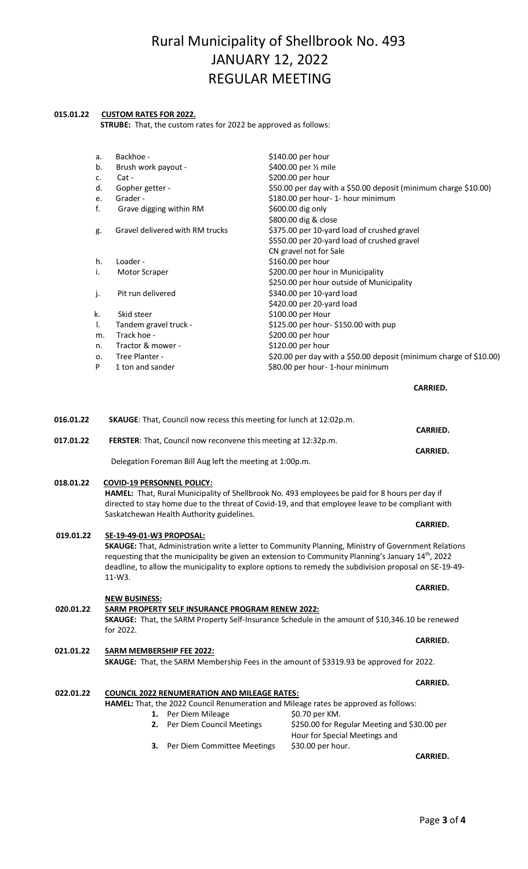#### **015.01.22 CUSTOM RATES FOR 2022.**

 **STRUBE:** That, the custom rates for 2022 be approved as follows:

| \$140.00 per hour<br>\$400.00 per 1/2 mile<br>\$200.00 per hour<br>\$50.00 per day with a \$50.00 deposit (minimum charge \$10.00)<br>\$180.00 per hour- 1- hour minimum<br>\$600.00 dig only<br>\$800.00 dig & close<br>\$375.00 per 10-yard load of crushed gravel<br>\$550.00 per 20-yard load of crushed gravel<br>CN gravel not for Sale<br>\$160.00 per hour<br>\$200.00 per hour in Municipality<br>\$250.00 per hour outside of Municipality<br>\$340.00 per 10-yard load | Backhoe -<br>а.<br>Brush work payout -<br>b.<br>Cat-<br>c.                                                                               |
|-----------------------------------------------------------------------------------------------------------------------------------------------------------------------------------------------------------------------------------------------------------------------------------------------------------------------------------------------------------------------------------------------------------------------------------------------------------------------------------|------------------------------------------------------------------------------------------------------------------------------------------|
|                                                                                                                                                                                                                                                                                                                                                                                                                                                                                   |                                                                                                                                          |
|                                                                                                                                                                                                                                                                                                                                                                                                                                                                                   |                                                                                                                                          |
|                                                                                                                                                                                                                                                                                                                                                                                                                                                                                   |                                                                                                                                          |
|                                                                                                                                                                                                                                                                                                                                                                                                                                                                                   |                                                                                                                                          |
|                                                                                                                                                                                                                                                                                                                                                                                                                                                                                   | d.<br>Gopher getter -                                                                                                                    |
|                                                                                                                                                                                                                                                                                                                                                                                                                                                                                   | Grader -<br>e.                                                                                                                           |
|                                                                                                                                                                                                                                                                                                                                                                                                                                                                                   | f.<br>Grave digging within RM                                                                                                            |
|                                                                                                                                                                                                                                                                                                                                                                                                                                                                                   |                                                                                                                                          |
|                                                                                                                                                                                                                                                                                                                                                                                                                                                                                   | Gravel delivered with RM trucks<br>g.                                                                                                    |
|                                                                                                                                                                                                                                                                                                                                                                                                                                                                                   |                                                                                                                                          |
|                                                                                                                                                                                                                                                                                                                                                                                                                                                                                   |                                                                                                                                          |
|                                                                                                                                                                                                                                                                                                                                                                                                                                                                                   | h.<br>Loader -                                                                                                                           |
|                                                                                                                                                                                                                                                                                                                                                                                                                                                                                   | i.<br>Motor Scraper                                                                                                                      |
|                                                                                                                                                                                                                                                                                                                                                                                                                                                                                   |                                                                                                                                          |
|                                                                                                                                                                                                                                                                                                                                                                                                                                                                                   | j.<br>Pit run delivered                                                                                                                  |
|                                                                                                                                                                                                                                                                                                                                                                                                                                                                                   | \$420.00 per 20-yard load                                                                                                                |
|                                                                                                                                                                                                                                                                                                                                                                                                                                                                                   | \$100.00 per Hour<br>Skid steer<br>k.                                                                                                    |
|                                                                                                                                                                                                                                                                                                                                                                                                                                                                                   | \$125.00 per hour- \$150.00 with pup<br>I.<br>Tandem gravel truck -                                                                      |
|                                                                                                                                                                                                                                                                                                                                                                                                                                                                                   | \$200.00 per hour<br>Track hoe -<br>m.                                                                                                   |
|                                                                                                                                                                                                                                                                                                                                                                                                                                                                                   | \$120.00 per hour<br>Tractor & mower -<br>n.                                                                                             |
| \$20.00 per day with a \$50.00 deposit (minimum charge of \$10.00)                                                                                                                                                                                                                                                                                                                                                                                                                | Tree Planter -<br>о.                                                                                                                     |
| \$80.00 per hour-1-hour minimum                                                                                                                                                                                                                                                                                                                                                                                                                                                   | P<br>1 ton and sander                                                                                                                    |
|                                                                                                                                                                                                                                                                                                                                                                                                                                                                                   |                                                                                                                                          |
| <b>CARRIED.</b>                                                                                                                                                                                                                                                                                                                                                                                                                                                                   |                                                                                                                                          |
|                                                                                                                                                                                                                                                                                                                                                                                                                                                                                   |                                                                                                                                          |
|                                                                                                                                                                                                                                                                                                                                                                                                                                                                                   | 016.01.22<br>SKAUGE: That, Council now recess this meeting for lunch at 12:02p.m.                                                        |
| <b>CARRIED.</b>                                                                                                                                                                                                                                                                                                                                                                                                                                                                   |                                                                                                                                          |
|                                                                                                                                                                                                                                                                                                                                                                                                                                                                                   | 017.01.22<br>FERSTER: That, Council now reconvene this meeting at 12:32p.m.                                                              |
| <b>CARRIED.</b>                                                                                                                                                                                                                                                                                                                                                                                                                                                                   |                                                                                                                                          |
|                                                                                                                                                                                                                                                                                                                                                                                                                                                                                   | Delegation Foreman Bill Aug left the meeting at 1:00p.m.                                                                                 |
|                                                                                                                                                                                                                                                                                                                                                                                                                                                                                   |                                                                                                                                          |
|                                                                                                                                                                                                                                                                                                                                                                                                                                                                                   | 018.01.22<br><b>COVID-19 PERSONNEL POLICY:</b>                                                                                           |
|                                                                                                                                                                                                                                                                                                                                                                                                                                                                                   | HAMEL: That, Rural Municipality of Shellbrook No. 493 employees be paid for 8 hours per day if                                           |
|                                                                                                                                                                                                                                                                                                                                                                                                                                                                                   | directed to stay home due to the threat of Covid-19, and that employee leave to be compliant with                                        |
|                                                                                                                                                                                                                                                                                                                                                                                                                                                                                   | Saskatchewan Health Authority guidelines.                                                                                                |
| <b>CARRIED.</b>                                                                                                                                                                                                                                                                                                                                                                                                                                                                   |                                                                                                                                          |
|                                                                                                                                                                                                                                                                                                                                                                                                                                                                                   | 019.01.22<br>SE-19-49-01-W3 PROPOSAL:                                                                                                    |
|                                                                                                                                                                                                                                                                                                                                                                                                                                                                                   | SKAUGE: That, Administration write a letter to Community Planning, Ministry of Government Relations                                      |
|                                                                                                                                                                                                                                                                                                                                                                                                                                                                                   | requesting that the municipality be given an extension to Community Planning's January 14 <sup>th</sup> , 2022                           |
|                                                                                                                                                                                                                                                                                                                                                                                                                                                                                   | deadline, to allow the municipality to explore options to remedy the subdivision proposal on SE-19-49-                                   |
|                                                                                                                                                                                                                                                                                                                                                                                                                                                                                   | $11-W3.$                                                                                                                                 |
| <b>CARRIED.</b>                                                                                                                                                                                                                                                                                                                                                                                                                                                                   |                                                                                                                                          |
|                                                                                                                                                                                                                                                                                                                                                                                                                                                                                   | <b>NEW BUSINESS:</b>                                                                                                                     |
|                                                                                                                                                                                                                                                                                                                                                                                                                                                                                   | 020.01.22<br><b>SARM PROPERTY SELF INSURANCE PROGRAM RENEW 2022:</b>                                                                     |
|                                                                                                                                                                                                                                                                                                                                                                                                                                                                                   | SKAUGE: That, the SARM Property Self-Insurance Schedule in the amount of \$10,346.10 be renewed                                          |
|                                                                                                                                                                                                                                                                                                                                                                                                                                                                                   | for 2022.                                                                                                                                |
| <b>CARRIED.</b>                                                                                                                                                                                                                                                                                                                                                                                                                                                                   |                                                                                                                                          |
|                                                                                                                                                                                                                                                                                                                                                                                                                                                                                   | 021.01.22<br><b>SARM MEMBERSHIP FEE 2022:</b><br>SKAUGE: That, the SARM Membership Fees in the amount of \$3319.93 be approved for 2022. |
|                                                                                                                                                                                                                                                                                                                                                                                                                                                                                   |                                                                                                                                          |
|                                                                                                                                                                                                                                                                                                                                                                                                                                                                                   |                                                                                                                                          |
|                                                                                                                                                                                                                                                                                                                                                                                                                                                                                   |                                                                                                                                          |
|                                                                                                                                                                                                                                                                                                                                                                                                                                                                                   |                                                                                                                                          |
|                                                                                                                                                                                                                                                                                                                                                                                                                                                                                   |                                                                                                                                          |
|                                                                                                                                                                                                                                                                                                                                                                                                                                                                                   |                                                                                                                                          |
|                                                                                                                                                                                                                                                                                                                                                                                                                                                                                   |                                                                                                                                          |
|                                                                                                                                                                                                                                                                                                                                                                                                                                                                                   |                                                                                                                                          |
|                                                                                                                                                                                                                                                                                                                                                                                                                                                                                   |                                                                                                                                          |
|                                                                                                                                                                                                                                                                                                                                                                                                                                                                                   |                                                                                                                                          |
|                                                                                                                                                                                                                                                                                                                                                                                                                                                                                   |                                                                                                                                          |
|                                                                                                                                                                                                                                                                                                                                                                                                                                                                                   |                                                                                                                                          |
|                                                                                                                                                                                                                                                                                                                                                                                                                                                                                   |                                                                                                                                          |
|                                                                                                                                                                                                                                                                                                                                                                                                                                                                                   |                                                                                                                                          |
|                                                                                                                                                                                                                                                                                                                                                                                                                                                                                   |                                                                                                                                          |
|                                                                                                                                                                                                                                                                                                                                                                                                                                                                                   |                                                                                                                                          |
|                                                                                                                                                                                                                                                                                                                                                                                                                                                                                   |                                                                                                                                          |
|                                                                                                                                                                                                                                                                                                                                                                                                                                                                                   |                                                                                                                                          |
|                                                                                                                                                                                                                                                                                                                                                                                                                                                                                   |                                                                                                                                          |
|                                                                                                                                                                                                                                                                                                                                                                                                                                                                                   |                                                                                                                                          |
|                                                                                                                                                                                                                                                                                                                                                                                                                                                                                   |                                                                                                                                          |
|                                                                                                                                                                                                                                                                                                                                                                                                                                                                                   |                                                                                                                                          |
|                                                                                                                                                                                                                                                                                                                                                                                                                                                                                   |                                                                                                                                          |
|                                                                                                                                                                                                                                                                                                                                                                                                                                                                                   |                                                                                                                                          |
|                                                                                                                                                                                                                                                                                                                                                                                                                                                                                   |                                                                                                                                          |
|                                                                                                                                                                                                                                                                                                                                                                                                                                                                                   |                                                                                                                                          |
|                                                                                                                                                                                                                                                                                                                                                                                                                                                                                   |                                                                                                                                          |
|                                                                                                                                                                                                                                                                                                                                                                                                                                                                                   |                                                                                                                                          |
|                                                                                                                                                                                                                                                                                                                                                                                                                                                                                   |                                                                                                                                          |
|                                                                                                                                                                                                                                                                                                                                                                                                                                                                                   |                                                                                                                                          |
|                                                                                                                                                                                                                                                                                                                                                                                                                                                                                   |                                                                                                                                          |
|                                                                                                                                                                                                                                                                                                                                                                                                                                                                                   |                                                                                                                                          |
|                                                                                                                                                                                                                                                                                                                                                                                                                                                                                   |                                                                                                                                          |
|                                                                                                                                                                                                                                                                                                                                                                                                                                                                                   |                                                                                                                                          |
|                                                                                                                                                                                                                                                                                                                                                                                                                                                                                   |                                                                                                                                          |
|                                                                                                                                                                                                                                                                                                                                                                                                                                                                                   |                                                                                                                                          |
|                                                                                                                                                                                                                                                                                                                                                                                                                                                                                   |                                                                                                                                          |
|                                                                                                                                                                                                                                                                                                                                                                                                                                                                                   |                                                                                                                                          |
|                                                                                                                                                                                                                                                                                                                                                                                                                                                                                   |                                                                                                                                          |
|                                                                                                                                                                                                                                                                                                                                                                                                                                                                                   |                                                                                                                                          |
|                                                                                                                                                                                                                                                                                                                                                                                                                                                                                   |                                                                                                                                          |
|                                                                                                                                                                                                                                                                                                                                                                                                                                                                                   |                                                                                                                                          |
|                                                                                                                                                                                                                                                                                                                                                                                                                                                                                   |                                                                                                                                          |
|                                                                                                                                                                                                                                                                                                                                                                                                                                                                                   |                                                                                                                                          |
|                                                                                                                                                                                                                                                                                                                                                                                                                                                                                   |                                                                                                                                          |
|                                                                                                                                                                                                                                                                                                                                                                                                                                                                                   |                                                                                                                                          |
|                                                                                                                                                                                                                                                                                                                                                                                                                                                                                   |                                                                                                                                          |
|                                                                                                                                                                                                                                                                                                                                                                                                                                                                                   |                                                                                                                                          |
|                                                                                                                                                                                                                                                                                                                                                                                                                                                                                   |                                                                                                                                          |
|                                                                                                                                                                                                                                                                                                                                                                                                                                                                                   |                                                                                                                                          |
|                                                                                                                                                                                                                                                                                                                                                                                                                                                                                   |                                                                                                                                          |
|                                                                                                                                                                                                                                                                                                                                                                                                                                                                                   |                                                                                                                                          |
|                                                                                                                                                                                                                                                                                                                                                                                                                                                                                   |                                                                                                                                          |
|                                                                                                                                                                                                                                                                                                                                                                                                                                                                                   |                                                                                                                                          |
|                                                                                                                                                                                                                                                                                                                                                                                                                                                                                   |                                                                                                                                          |
|                                                                                                                                                                                                                                                                                                                                                                                                                                                                                   |                                                                                                                                          |
|                                                                                                                                                                                                                                                                                                                                                                                                                                                                                   |                                                                                                                                          |
|                                                                                                                                                                                                                                                                                                                                                                                                                                                                                   |                                                                                                                                          |
|                                                                                                                                                                                                                                                                                                                                                                                                                                                                                   |                                                                                                                                          |
|                                                                                                                                                                                                                                                                                                                                                                                                                                                                                   |                                                                                                                                          |
|                                                                                                                                                                                                                                                                                                                                                                                                                                                                                   |                                                                                                                                          |
|                                                                                                                                                                                                                                                                                                                                                                                                                                                                                   |                                                                                                                                          |
|                                                                                                                                                                                                                                                                                                                                                                                                                                                                                   |                                                                                                                                          |
|                                                                                                                                                                                                                                                                                                                                                                                                                                                                                   |                                                                                                                                          |
|                                                                                                                                                                                                                                                                                                                                                                                                                                                                                   |                                                                                                                                          |
|                                                                                                                                                                                                                                                                                                                                                                                                                                                                                   |                                                                                                                                          |
|                                                                                                                                                                                                                                                                                                                                                                                                                                                                                   |                                                                                                                                          |
|                                                                                                                                                                                                                                                                                                                                                                                                                                                                                   |                                                                                                                                          |
|                                                                                                                                                                                                                                                                                                                                                                                                                                                                                   |                                                                                                                                          |
|                                                                                                                                                                                                                                                                                                                                                                                                                                                                                   |                                                                                                                                          |
|                                                                                                                                                                                                                                                                                                                                                                                                                                                                                   |                                                                                                                                          |
|                                                                                                                                                                                                                                                                                                                                                                                                                                                                                   |                                                                                                                                          |
|                                                                                                                                                                                                                                                                                                                                                                                                                                                                                   |                                                                                                                                          |
|                                                                                                                                                                                                                                                                                                                                                                                                                                                                                   |                                                                                                                                          |
|                                                                                                                                                                                                                                                                                                                                                                                                                                                                                   |                                                                                                                                          |
|                                                                                                                                                                                                                                                                                                                                                                                                                                                                                   |                                                                                                                                          |
|                                                                                                                                                                                                                                                                                                                                                                                                                                                                                   |                                                                                                                                          |
|                                                                                                                                                                                                                                                                                                                                                                                                                                                                                   |                                                                                                                                          |
|                                                                                                                                                                                                                                                                                                                                                                                                                                                                                   |                                                                                                                                          |
|                                                                                                                                                                                                                                                                                                                                                                                                                                                                                   |                                                                                                                                          |
|                                                                                                                                                                                                                                                                                                                                                                                                                                                                                   |                                                                                                                                          |
|                                                                                                                                                                                                                                                                                                                                                                                                                                                                                   |                                                                                                                                          |
|                                                                                                                                                                                                                                                                                                                                                                                                                                                                                   |                                                                                                                                          |
|                                                                                                                                                                                                                                                                                                                                                                                                                                                                                   |                                                                                                                                          |
|                                                                                                                                                                                                                                                                                                                                                                                                                                                                                   |                                                                                                                                          |
|                                                                                                                                                                                                                                                                                                                                                                                                                                                                                   |                                                                                                                                          |
|                                                                                                                                                                                                                                                                                                                                                                                                                                                                                   |                                                                                                                                          |
|                                                                                                                                                                                                                                                                                                                                                                                                                                                                                   |                                                                                                                                          |
|                                                                                                                                                                                                                                                                                                                                                                                                                                                                                   |                                                                                                                                          |
|                                                                                                                                                                                                                                                                                                                                                                                                                                                                                   |                                                                                                                                          |
|                                                                                                                                                                                                                                                                                                                                                                                                                                                                                   |                                                                                                                                          |
|                                                                                                                                                                                                                                                                                                                                                                                                                                                                                   |                                                                                                                                          |
|                                                                                                                                                                                                                                                                                                                                                                                                                                                                                   |                                                                                                                                          |
|                                                                                                                                                                                                                                                                                                                                                                                                                                                                                   |                                                                                                                                          |
|                                                                                                                                                                                                                                                                                                                                                                                                                                                                                   |                                                                                                                                          |
|                                                                                                                                                                                                                                                                                                                                                                                                                                                                                   |                                                                                                                                          |
|                                                                                                                                                                                                                                                                                                                                                                                                                                                                                   |                                                                                                                                          |

#### **022.01.22 COUNCIL 2022 RENUMERATION AND MILEAGE RATES: HAMEL:** That, the 2022 Council Renumeration and Mileage rates be approved as follows: **1.** Per Diem Mileage \$0.70 per KM.<br>**2.** Per Diem Council Meetings \$250.00 for Re \$250.00 for Regular Meeting and \$30.00 per

Hour for Special Meetings and<br>\$30.00 per hour. **3.** Per Diem Committee Meetings **CARRIED.**

**CARRIED.**